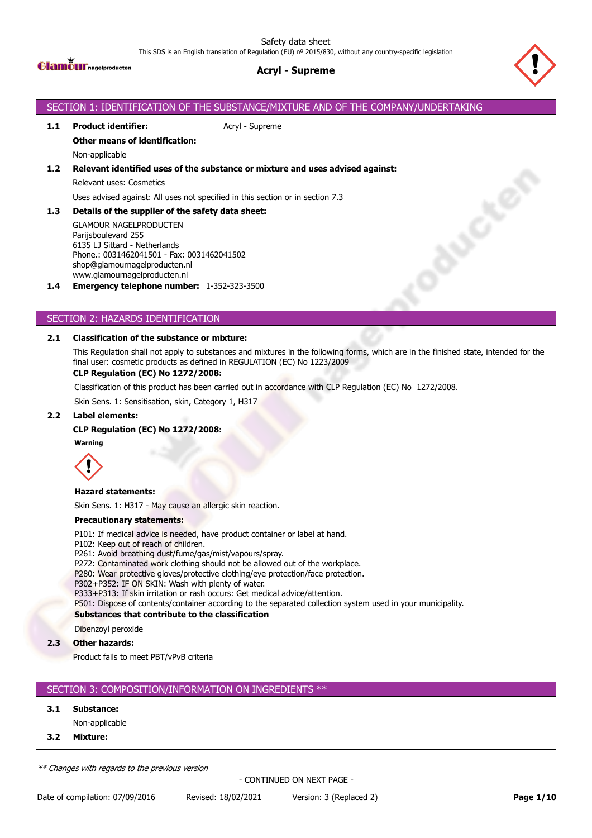Safety data sheet

This SDS is an English translation of Regulation (EU) nº 2015/830, without any country-specific legislation



# **Acryl - Supreme**



# SECTION 1: IDENTIFICATION OF THE SUBSTANCE/MIXTURE AND OF THE COMPANY/UNDERTAKING **1.1 Product identifier:** Acryl - Supreme **Other means of identification:** Non-applicable **1.2 Relevant identified uses of the substance or mixture and uses advised against:** Relevant uses: Cosmetics Uses advised against: All uses not specified in this section or in section 7.3 Ruch **1.3 Details of the supplier of the safety data sheet:** GLAMOUR NAGELPRODUCTEN Parijsboulevard 255 6135 LJ Sittard - Netherlands Phone.: 0031462041501 - Fax: 0031462041502 shop@glamournagelproducten.nl www.glamournagelproducten.nl **1.4 Emergency telephone number:** 1-352-323-3500

# SECTION 2: HAZARDS IDENTIFICATION

## **2.1 Classification of the substance or mixture:**

This Regulation shall not apply to substances and mixtures in the following forms, which are in the finished state, intended for the final user: cosmetic products as defined in REGULATION (EC) No 1223/2009

### **CLP Regulation (EC) No 1272/2008:**

Classification of this product has been carried out in accordance with CLP Regulation (EC) No 1272/2008.

Skin Sens. 1: Sensitisation, skin, Category 1, H317

#### **2.2 Label elements:**

### **CLP Regulation (EC) No 1272/2008:**

**Warning**



#### **Hazard statements:**

Skin Sens. 1: H317 - May cause an allergic skin reaction.

#### **Precautionary statements:**

P101: If medical advice is needed, have product container or label at hand.

- P102: Keep out of reach of children.
- P261: Avoid breathing dust/fume/gas/mist/vapours/spray.
- P272: Contaminated work clothing should not be allowed out of the workplace.
- P280: Wear protective gloves/protective clothing/eye protection/face protection.
- P302+P352: IF ON SKIN: Wash with plenty of water.
- P333+P313: If skin irritation or rash occurs: Get medical advice/attention.

P501: Dispose of contents/container according to the separated collection system used in your municipality.

#### **Substances that contribute to the classification**

Dibenzoyl peroxide

**2.3 Other hazards:**

Product fails to meet PBT/vPvB criteria

# SECTION 3: COMPOSITION/INFORMATION ON INGREDIENTS \*\*

### **3.1 Substance:**

Non-applicable

**3.2 Mixture:**

*\*\* Changes with regards to the previous version*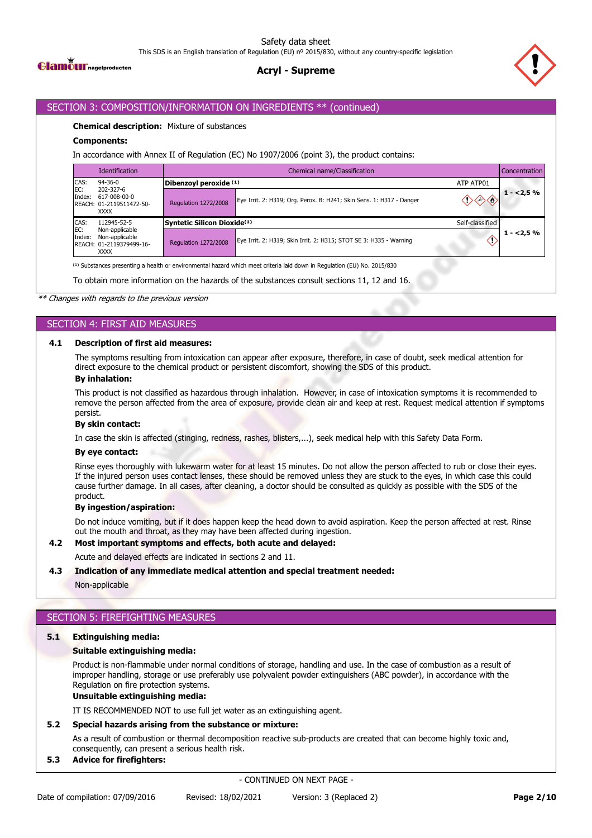

# **Acryl - Supreme**



## SECTION 3: COMPOSITION/INFORMATION ON INGREDIENTS \*\* (continued)

#### **Chemical description:** Mixture of substances

#### **Components:**

In accordance with Annex II of Regulation (EC) No 1907/2006 (point 3), the product contains:

|               | <b>Identification</b>                                                                                                               | Chemical name/Classification<br>Concentration |                                                                      |                 |                  |  |  |
|---------------|-------------------------------------------------------------------------------------------------------------------------------------|-----------------------------------------------|----------------------------------------------------------------------|-----------------|------------------|--|--|
| CAS:          | $94 - 36 - 0$<br>202-327-6                                                                                                          | Dibenzoyl peroxide (1)                        |                                                                      | ATP ATP01       |                  |  |  |
| EC:<br>Index: | 617-008-00-0<br>REACH: 01-2119511472-50-<br><b>XXXX</b>                                                                             | Regulation 1272/2008                          | Eye Irrit. 2: H319; Org. Perox. B: H241; Skin Sens. 1: H317 - Danger |                 | $\sqrt{1}$ <2,5% |  |  |
| CAS:          | 112945-52-5                                                                                                                         | Syntetic Silicon Dioxide <sup>(1)</sup>       |                                                                      | Self-classified |                  |  |  |
| EC:<br>Index: | Non-applicable<br>Non-applicable<br>REACH: 01-2119379499-16-<br><b>XXXX</b>                                                         | <b>Regulation 1272/2008</b>                   | Eye Irrit. 2: H319; Skin Irrit. 2: H315; STOT SE 3: H335 - Warning   |                 | $1 - 2.5%$       |  |  |
|               | <sup>(1)</sup> Substances presenting a health or environmental hazard which meet criteria laid down in Regulation (EU) No. 2015/830 |                                               |                                                                      |                 |                  |  |  |

To obtain more information on the hazards of the substances consult sections 11, 12 and 16.

*\*\* Changes with regards to the previous version*

# SECTION 4: FIRST AID MEASURES

#### **4.1 Description of first aid measures:**

The symptoms resulting from intoxication can appear after exposure, therefore, in case of doubt, seek medical attention for direct exposure to the chemical product or persistent discomfort, showing the SDS of this product.

#### **By inhalation:**

This product is not classified as hazardous through inhalation. However, in case of intoxication symptoms it is recommended to remove the person affected from the area of exposure, provide clean air and keep at rest. Request medical attention if symptoms persist.

#### **By skin contact:**

In case the skin is affected (stinging, redness, rashes, blisters,...), seek medical help with this Safety Data Form.

### **By eye contact:**

Rinse eyes thoroughly with lukewarm water for at least 15 minutes. Do not allow the person affected to rub or close their eyes. If the injured person uses contact lenses, these should be removed unless they are stuck to the eyes, in which case this could cause further damage. In all cases, after cleaning, a doctor should be consulted as quickly as possible with the SDS of the product.

#### **By ingestion/aspiration:**

Do not induce vomiting, but if it does happen keep the head down to avoid aspiration. Keep the person affected at rest. Rinse out the mouth and throat, as they may have been affected during ingestion.

#### **4.2 Most important symptoms and effects, both acute and delayed:**

Acute and delayed effects are indicated in sections 2 and 11.

#### **4.3 Indication of any immediate medical attention and special treatment needed:**

Non-applicable

# SECTION 5: FIREFIGHTING MEASURES

### **5.1 Extinguishing media:**

#### **Suitable extinguishing media:**

Product is non-flammable under normal conditions of storage, handling and use. In the case of combustion as a result of improper handling, storage or use preferably use polyvalent powder extinguishers (ABC powder), in accordance with the Regulation on fire protection systems.

# **Unsuitable extinguishing media:**

IT IS RECOMMENDED NOT to use full jet water as an extinguishing agent.

### **5.2 Special hazards arising from the substance or mixture:**

As a result of combustion or thermal decomposition reactive sub-products are created that can become highly toxic and, consequently, can present a serious health risk.

#### **5.3 Advice for firefighters:**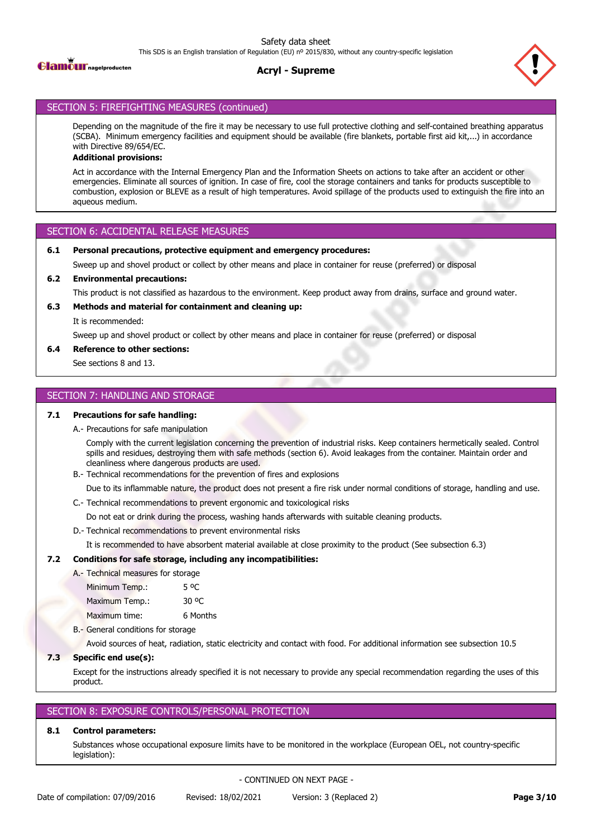

# **Acryl - Supreme**



# SECTION 5: FIREFIGHTING MEASURES (continued)

Depending on the magnitude of the fire it may be necessary to use full protective clothing and self-contained breathing apparatus (SCBA). Minimum emergency facilities and equipment should be available (fire blankets, portable first aid kit,...) in accordance with Directive 89/654/EC.

# **Additional provisions:**

Act in accordance with the Internal Emergency Plan and the Information Sheets on actions to take after an accident or other emergencies. Eliminate all sources of ignition. In case of fire, cool the storage containers and tanks for products susceptible to combustion, explosion or BLEVE as a result of high temperatures. Avoid spillage of the products used to extinguish the fire into an aqueous medium.

# SECTION 6: ACCIDENTAL RELEASE MEASURES

## **6.1 Personal precautions, protective equipment and emergency procedures:**

Sweep up and shovel product or collect by other means and place in container for reuse (preferred) or disposal

## **6.2 Environmental precautions:**

This product is not classified as hazardous to the environment. Keep product away from drains, surface and ground water.

## **6.3 Methods and material for containment and cleaning up:**

It is recommended:

Sweep up and shovel product or collect by other means and place in container for reuse (preferred) or disposal

## **6.4 Reference to other sections:**

See sections 8 and 13.

# SECTION 7: HANDLING AND STORAGE

# **7.1 Precautions for safe handling:**

A.- Precautions for safe manipulation

Comply with the current legislation concerning the prevention of industrial risks. Keep containers hermetically sealed. Control spills and residues, destroying them with safe methods (section 6). Avoid leakages from the container. Maintain order and cleanliness where dangerous products are used.

B.- Technical recommendations for the prevention of fires and explosions

Due to its inflammable nature, the product does not present a fire risk under normal conditions of storage, handling and use.

C.- Technical recommendations to prevent ergonomic and toxicological risks

Do not eat or drink during the process, washing hands afterwards with suitable cleaning products.

D.- Technical recommendations to prevent environmental risks

It is recommended to have absorbent material available at close proximity to the product (See subsection 6.3)

# **7.2 Conditions for safe storage, including any incompatibilities:**

A.- Technical measures for storage Minimum Temp.: 5 °C Maximum Temp.: 30 °C Maximum time: 6 Months

B.- General conditions for storage

Avoid sources of heat, radiation, static electricity and contact with food. For additional information see subsection 10.5

# **7.3 Specific end use(s):**

Except for the instructions already specified it is not necessary to provide any special recommendation regarding the uses of this product.

# SECTION 8: EXPOSURE CONTROLS/PERSONAL PROTECTION

# **8.1 Control parameters:**

Substances whose occupational exposure limits have to be monitored in the workplace (European OEL, not country-specific legislation):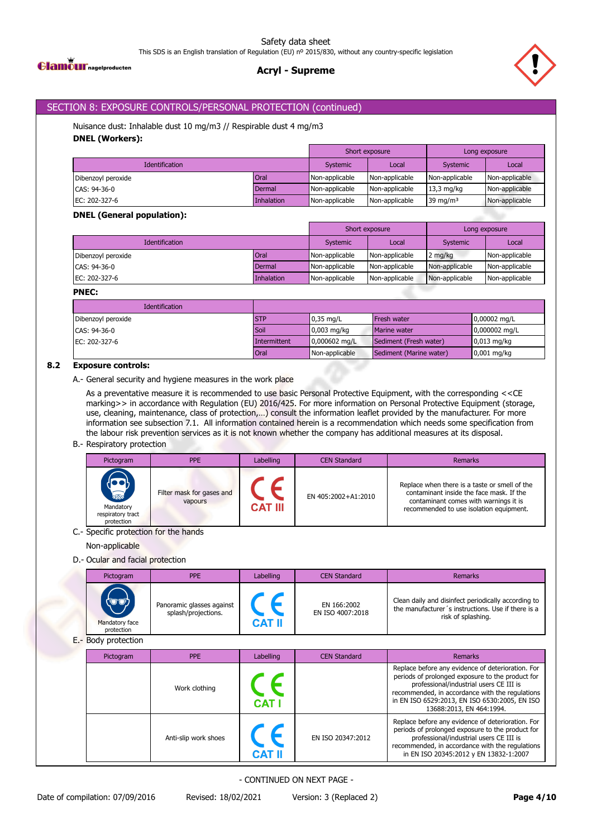**Glamour** nagelproducten

# **Acryl - Supreme**



# SECTION 8: EXPOSURE CONTROLS/PERSONAL PROTECTION (continued)

Nuisance dust: Inhalable dust 10 mg/m3 // Respirable dust 4 mg/m3 **DNEL (Workers):**

|                       |            | Short exposure |                | Long exposure  |                |
|-----------------------|------------|----------------|----------------|----------------|----------------|
| <b>Identification</b> |            | Systemic       | Local          | Systemic       | Local          |
| Dibenzoyl peroxide    | Oral       | Non-applicable | Non-applicable | Non-applicable | Non-applicable |
| CAS: 94-36-0          | Dermal     | Non-applicable | Non-applicable | $13,3$ mg/kg   | Non-applicable |
| EC: 202-327-6         | Inhalation | Non-applicable | Non-applicable | 39 mg/m $3$    | Non-applicable |

# **DNEL (General population):**

|                               |             |                | Short exposure |                | Long exposure  |
|-------------------------------|-------------|----------------|----------------|----------------|----------------|
| <b>Identification</b>         |             | Systemic       | Local          | Systemic       | Local          |
| Dibenzoyl peroxide            | <b>Oral</b> | Non-applicable | Non-applicable | 2 mg/kg        | Non-applicable |
| CAS: 94-36-0                  | Dermal      | Non-applicable | Non-applicable | Non-applicable | Non-applicable |
| EC: $202-327-6$<br>Inhalation |             | Non-applicable | Non-applicable | Non-applicable | Non-applicable |

## **PNEC:**

| <b>Identification</b> |              |                          |                         |                         |
|-----------------------|--------------|--------------------------|-------------------------|-------------------------|
| Dibenzoyl peroxide    | <b>STP</b>   | $0.35$ mg/L              | <b>Fresh water</b>      | $0,00002 \text{ mg/L}$  |
| CAS: 94-36-0          | Soil         | $0.003$ mg/kg            | Marine water            | $0,000002 \text{ mg/L}$ |
| EC: 202-327-6         | Intermittent | $10,000602 \text{ mg/L}$ | Sediment (Fresh water)  | $0.013$ mg/kg           |
|                       | Oral         | Non-applicable           | Sediment (Marine water) | $0,001$ mg/kg           |

# **8.2 Exposure controls:**

A.- General security and hygiene measures in the work place

As a preventative measure it is recommended to use basic Personal Protective Equipment, with the corresponding <<CE marking>> in accordance with Regulation (EU) 2016/425. For more information on Personal Protective Equipment (storage, use, cleaning, maintenance, class of protection,…) consult the information leaflet provided by the manufacturer. For more information see subsection 7.1. All information contained herein is a recommendation which needs some specification from the labour risk prevention services as it is not known whether the company has additional measures at its disposal.

### B.- Respiratory protection

| Pictogram                                                       | <b>PPE</b>                           | Labelling      | <b>CEN Standard</b> | Remarks                                                                                                                                                                       |
|-----------------------------------------------------------------|--------------------------------------|----------------|---------------------|-------------------------------------------------------------------------------------------------------------------------------------------------------------------------------|
| <b>RESPONSE</b><br>Mandatory<br>respiratory tract<br>protection | Filter mask for gases and<br>vapours | <b>CAT III</b> | EN 405:2002+A1:2010 | Replace when there is a taste or smell of the<br>contaminant inside the face mask. If the<br>contaminant comes with warnings it is<br>recommended to use isolation equipment. |

## C.- Specific protection for the hands

Non-applicable

# D.- Ocular and facial protection

| Pictogram                                  | <b>PPE</b>                                       | Labelling | <b>CEN Standard</b>             | <b>Remarks</b>                                                                                                                  |
|--------------------------------------------|--------------------------------------------------|-----------|---------------------------------|---------------------------------------------------------------------------------------------------------------------------------|
| <b>COD</b><br>Mandatory face<br>protection | Panoramic glasses against<br>splash/projections. | CAT I     | EN 166:2002<br>EN ISO 4007:2018 | Clean daily and disinfect periodically according to<br>the manufacturer's instructions. Use if there is a<br>risk of splashing. |

E.- Body protection

| Pictogram | <b>PPE</b>           | Labelling  | <b>CEN Standard</b> | Remarks                                                                                                                                                                                                                                                                          |
|-----------|----------------------|------------|---------------------|----------------------------------------------------------------------------------------------------------------------------------------------------------------------------------------------------------------------------------------------------------------------------------|
|           | Work clothing        | <b>CAT</b> |                     | Replace before any evidence of deterioration. For<br>periods of prolonged exposure to the product for<br>professional/industrial users CE III is<br>recommended, in accordance with the regulations<br>in EN ISO 6529:2013, EN ISO 6530:2005, EN ISO<br>13688:2013, EN 464:1994. |
|           | Anti-slip work shoes |            | EN ISO 20347:2012   | Replace before any evidence of deterioration. For<br>periods of prolonged exposure to the product for<br>professional/industrial users CE III is<br>recommended, in accordance with the regulations<br>in EN ISO 20345:2012 y EN 13832-1:2007                                    |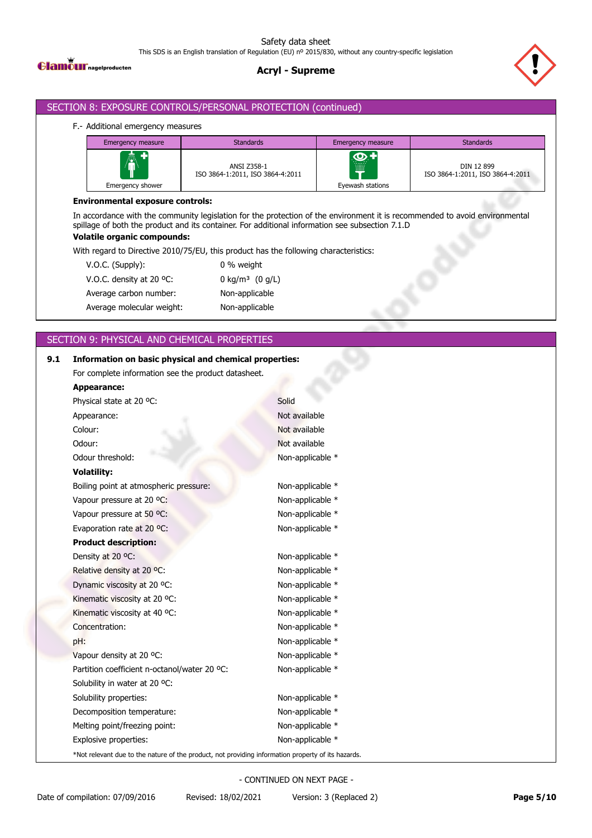**Glamour** nagelproducten

# **Acryl - Supreme**



# SECTION 8: EXPOSURE CONTROLS/PERSONAL PROTECTION (continued)

## F.- Additional emergency measures

| <b>Emergency measure</b> | <b>Standards</b>                                | Emergency measure                        | <b>Standards</b>                               |
|--------------------------|-------------------------------------------------|------------------------------------------|------------------------------------------------|
| A<br>Emergency shower    | ANSI Z358-1<br>ISO 3864-1:2011, ISO 3864-4:2011 | $\bigcirc$<br>.<br>▦<br>Eyewash stations | DIN 12 899<br>ISO 3864-1:2011, ISO 3864-4:2011 |

# **Environmental exposure controls:**

In accordance with the community legislation for the protection of the environment it is recommended to avoid environmental spillage of both the product and its container. For additional information see subsection 7.1.D

# **Volatile organic compounds:**

With regard to Directive 2010/75/EU, this product has the following characteristics:

| V.O.C. (Supply):          | 0 % weight                    |
|---------------------------|-------------------------------|
| V.O.C. density at 20 °C.  | 0 kg/m <sup>3</sup> $(0 g/L)$ |
| Average carbon number:    | Non-applicable                |
| Average molecular weight: | Non-applicable                |
|                           |                               |

# SECTION 9: PHYSICAL AND CHEMICAL PROPERTIES

| 9.1 | Information on basic physical and chemical properties:                                             |                  |
|-----|----------------------------------------------------------------------------------------------------|------------------|
|     | For complete information see the product datasheet.                                                |                  |
|     | Appearance:                                                                                        |                  |
|     | Physical state at 20 °C:                                                                           | Solid            |
|     | Appearance:                                                                                        | Not available    |
|     | Colour:                                                                                            | Not available    |
|     | Odour:                                                                                             | Not available    |
|     | Odour threshold:                                                                                   | Non-applicable * |
|     | <b>Volatility:</b>                                                                                 |                  |
|     | Boiling point at atmospheric pressure:                                                             | Non-applicable * |
|     | Vapour pressure at 20 °C:                                                                          | Non-applicable * |
|     | Vapour pressure at 50 °C:                                                                          | Non-applicable * |
|     | Evaporation rate at 20 °C:                                                                         | Non-applicable * |
|     | <b>Product description:</b>                                                                        |                  |
|     | Density at 20 °C:                                                                                  | Non-applicable * |
|     | Relative density at 20 °C:                                                                         | Non-applicable * |
|     | Dynamic viscosity at 20 °C:                                                                        | Non-applicable * |
|     | Kinematic viscosity at 20 °C:                                                                      | Non-applicable * |
|     | Kinematic viscosity at 40 °C:                                                                      | Non-applicable * |
|     | Concentration:                                                                                     | Non-applicable * |
|     | pH:                                                                                                | Non-applicable * |
|     | Vapour density at 20 °C:                                                                           | Non-applicable * |
|     | Partition coefficient n-octanol/water 20 °C:                                                       | Non-applicable * |
|     | Solubility in water at 20 °C:                                                                      |                  |
|     | Solubility properties:                                                                             | Non-applicable * |
|     | Decomposition temperature:                                                                         | Non-applicable * |
|     | Melting point/freezing point:                                                                      | Non-applicable * |
|     | Explosive properties:                                                                              | Non-applicable * |
|     | *Not relevant due to the nature of the product, not providing information property of its hazards. |                  |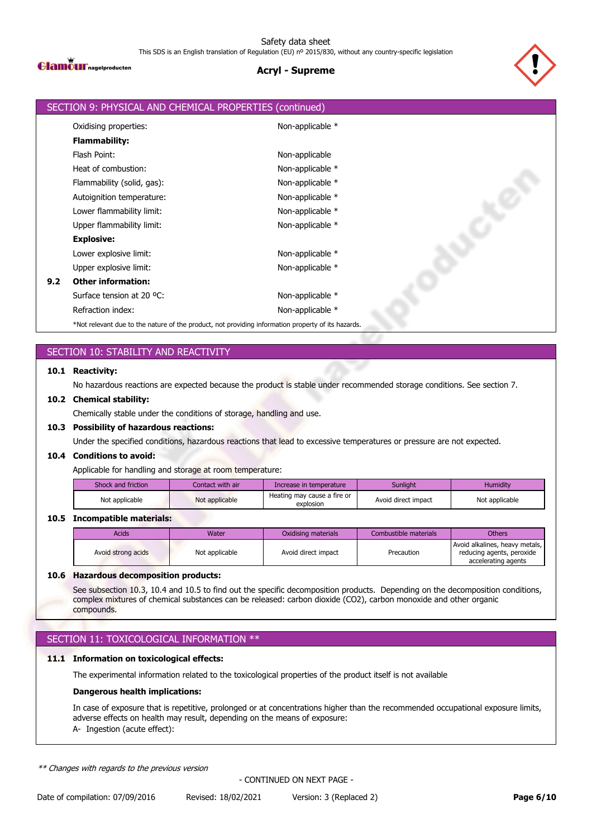

# **Acryl - Supreme**



|     | SECTION 9: PHYSICAL AND CHEMICAL PROPERTIES (continued)                                            |                  |
|-----|----------------------------------------------------------------------------------------------------|------------------|
|     | Oxidising properties:                                                                              | Non-applicable * |
|     | <b>Flammability:</b>                                                                               |                  |
|     | Flash Point:                                                                                       | Non-applicable   |
|     | Heat of combustion:                                                                                | Non-applicable * |
|     | Flammability (solid, gas):                                                                         | Non-applicable * |
|     | Autoignition temperature:                                                                          | Non-applicable * |
|     | Lower flammability limit:                                                                          | Non-applicable * |
|     | Upper flammability limit:                                                                          | Non-applicable * |
|     | <b>Explosive:</b>                                                                                  |                  |
|     | Lower explosive limit:                                                                             | Non-applicable * |
|     | Upper explosive limit:                                                                             | Non-applicable * |
| 9.2 | <b>Other information:</b>                                                                          |                  |
|     | Surface tension at 20 °C:                                                                          | Non-applicable * |
|     | Refraction index:                                                                                  | Non-applicable * |
|     | *Not relevant due to the nature of the product, not providing information property of its hazards. |                  |

# SECTION 10: STABILITY AND REACTIVITY

### **10.1 Reactivity:**

No hazardous reactions are expected because the product is stable under recommended storage conditions. See section 7.

### **10.2 Chemical stability:**

Chemically stable under the conditions of storage, handling and use.

### **10.3 Possibility of hazardous reactions:**

Under the specified conditions, hazardous reactions that lead to excessive temperatures or pressure are not expected.

### **10.4 Conditions to avoid:**

Applicable for handling and storage at room temperature:

| Shock and friction | Contact with air | Increase in temperature                  | <b>Sunlight</b>     | <b>Humidity</b> |
|--------------------|------------------|------------------------------------------|---------------------|-----------------|
| Not applicable     | Not applicable   | Heating may cause a fire or<br>explosion | Avoid direct impact | Not applicable  |

### **10.5 Incompatible materials:**

| <b>Acids</b>       | Water          | Oxidising materials | Combustible materials | <b>Others</b>                                                                      |
|--------------------|----------------|---------------------|-----------------------|------------------------------------------------------------------------------------|
| Avoid strong acids | Not applicable | Avoid direct impact | Precaution            | Avoid alkalines, heavy metals,<br>reducing agents, peroxide<br>accelerating agents |

### **10.6 Hazardous decomposition products:**

See subsection 10.3, 10.4 and 10.5 to find out the specific decomposition products. Depending on the decomposition conditions, complex mixtures of chemical substances can be released: carbon dioxide (CO2), carbon monoxide and other organic compounds.

# SECTION 11: TOXICOLOGICAL INFORMATION \*\*

### **11.1 Information on toxicological effects:**

The experimental information related to the toxicological properties of the product itself is not available

#### **Dangerous health implications:**

In case of exposure that is repetitive, prolonged or at concentrations higher than the recommended occupational exposure limits, adverse effects on health may result, depending on the means of exposure: A- Ingestion (acute effect):

*\*\* Changes with regards to the previous version*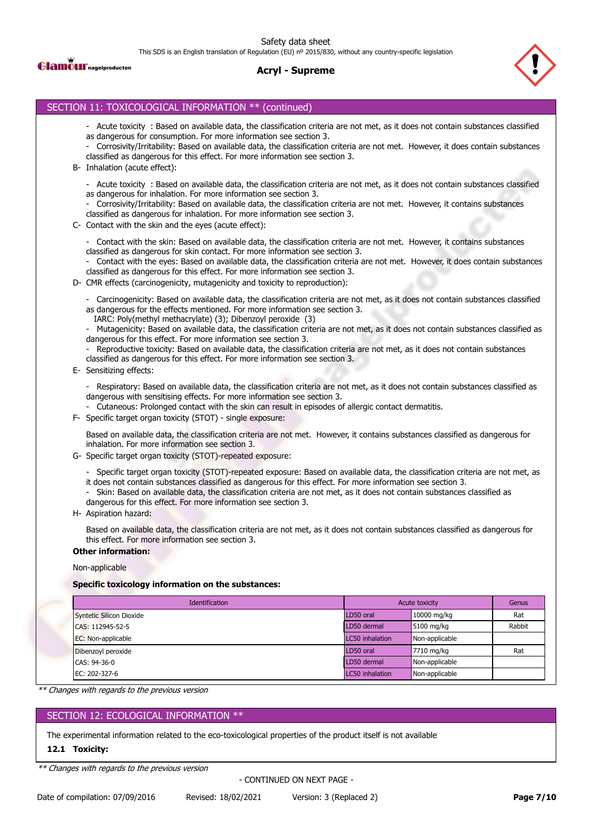Safety data sheet

This SDS is an English translation of Regulation (EU) nº 2015/830, without any country-specific legislation



### **Acryl - Supreme**



## SECTION 11: TOXICOLOGICAL INFORMATION \*\* (continued)

- Acute toxicity : Based on available data, the classification criteria are not met, as it does not contain substances classified as dangerous for consumption. For more information see section 3.
- Corrosivity/Irritability: Based on available data, the classification criteria are not met. However, it does contain substances classified as dangerous for this effect. For more information see section 3.
- B- Inhalation (acute effect):
	- Acute toxicity : Based on available data, the classification criteria are not met, as it does not contain substances classified as dangerous for inhalation. For more information see section 3.
	- Corrosivity/Irritability: Based on available data, the classification criteria are not met. However, it contains substances classified as dangerous for inhalation. For more information see section 3.
- C- Contact with the skin and the eyes (acute effect):

- Contact with the skin: Based on available data, the classification criteria are not met. However, it contains substances classified as dangerous for skin contact. For more information see section 3.

Contact with the eyes: Based on available data, the classification criteria are not met. However, it does contain substances classified as dangerous for this effect. For more information see section 3.

D- CMR effects (carcinogenicity, mutagenicity and toxicity to reproduction):

- Carcinogenicity: Based on available data, the classification criteria are not met, as it does not contain substances classified as dangerous for the effects mentioned. For more information see section 3.

IARC: Poly(methyl methacrylate) (3); Dibenzoyl peroxide (3)

- Mutagenicity: Based on available data, the classification criteria are not met, as it does not contain substances classified as dangerous for this effect. For more information see section 3.

Reproductive toxicity: Based on available data, the classification criteria are not met, as it does not contain substances classified as dangerous for this effect. For more information see section 3.

E- Sensitizing effects:

- Respiratory: Based on available data, the classification criteria are not met, as it does not contain substances classified as dangerous with sensitising effects. For more information see section 3.

- Cutaneous: Prolonged contact with the skin can result in episodes of allergic contact dermatitis.
- F- Specific target organ toxicity (STOT) single exposure:

Based on available data, the classification criteria are not met. However, it contains substances classified as dangerous for inhalation. For more information see section 3.

- G- Specific target organ toxicity (STOT)-repeated exposure:
	- Specific target organ toxicity (STOT)-repeated exposure: Based on available data, the classification criteria are not met, as
	- it does not contain substances classified as dangerous for this effect. For more information see section 3.
	- Skin: Based on available data, the classification criteria are not met, as it does not contain substances classified as
	- dangerous for this effect. For more information see section 3.
- H- Aspiration hazard:

Based on available data, the classification criteria are not met, as it does not contain substances classified as dangerous for this effect. For more information see section 3.

#### **Other information:**

#### Non-applicable

#### **Specific toxicology information on the substances:**

| <b>Identification</b>    | Acute toxicity         |                | Genus  |
|--------------------------|------------------------|----------------|--------|
| Syntetic Silicon Dioxide | LD50 oral              | 10000 mg/kg    | Rat    |
| CAS: 112945-52-5         | LD50 dermal            | 5100 mg/kg     | Rabbit |
| EC: Non-applicable       | LC50 inhalation        | Non-applicable |        |
| Dibenzoyl peroxide       | LD50 oral              | 7710 mg/kg     | Rat    |
| CAS: 94-36-0             | LD50 dermal            | Non-applicable |        |
| EC: 202-327-6            | <b>LC50</b> inhalation | Non-applicable |        |

*\*\* Changes with regards to the previous version*

# SECTION 12: ECOLOGICAL INFORMATION \*\*

The experimental information related to the eco-toxicological properties of the product itself is not available

#### **12.1 Toxicity:**

*\*\* Changes with regards to the previous version*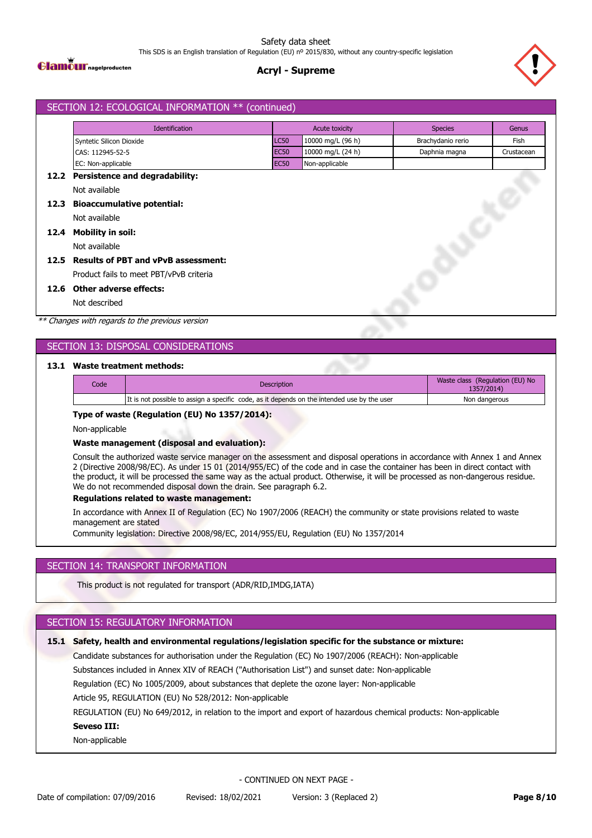

# **Acryl - Supreme**



# SECTION 12: ECOLOGICAL INFORMATION \*\* (continued) Identification **Acute toxicity** Acute toxicity Species Genus Syntetic Silicon Dioxide **LC50** 10000 mg/L (96 h) Brachydanio rerio Fish CAS: 112945-52-5 EC50 10000 mg/L (24 h) Daphnia magna Crustacean EC: Non-applicable **EC50** Non-applicable **12.2 Persistence and degradability:** Not available **12.3 Bioaccumulative potential:** Not available **12.4 Mobility in soil:** Not available **12.5 Results of PBT and vPvB assessment:** Product fails to meet PBT/vPvB criteria **12.6 Other adverse effects:** Not described

*\*\* Changes with regards to the previous version*

# SECTION 13: DISPOSAL CONSIDERATIONS

## **13.1 Waste treatment methods:**

| Code | <b>Description</b>                                                                          | Waste class (Regulation (EU) No<br>1357/2014) |
|------|---------------------------------------------------------------------------------------------|-----------------------------------------------|
|      | It is not possible to assign a specific code, as it depends on the intended use by the user | Non dangerous                                 |
|      |                                                                                             |                                               |

#### **Type of waste (Regulation (EU) No 1357/2014):**

Non-applicable

### **Waste management (disposal and evaluation):**

Consult the authorized waste service manager on the assessment and disposal operations in accordance with Annex 1 and Annex 2 (Directive 2008/98/EC). As under 15 01 (2014/955/EC) of the code and in case the container has been in direct contact with the product, it will be processed the same way as the actual product. Otherwise, it will be processed as non-dangerous residue. We do not recommended disposal down the drain. See paragraph 6.2.

#### **Regulations related to waste management:**

In accordance with Annex II of Regulation (EC) No 1907/2006 (REACH) the community or state provisions related to waste management are stated

Community legislation: Directive 2008/98/EC, 2014/955/EU, Regulation (EU) No 1357/2014

# SECTION 14: TRANSPORT INFORMATION

This product is not regulated for transport (ADR/RID,IMDG,IATA)

# SECTION 15: REGULATORY INFORMATION

Candidate substances for authorisation under the Regulation (EC) No 1907/2006 (REACH): Non-applicable Substances included in Annex XIV of REACH ("Authorisation List") and sunset date: Non-applicable Regulation (EC) No 1005/2009, about substances that deplete the ozone layer: Non-applicable Article 95, REGULATION (EU) No 528/2012: Non-applicable REGULATION (EU) No 649/2012, in relation to the import and export of hazardous chemical products: Non-applicable **15.1 Safety, health and environmental regulations/legislation specific for the substance or mixture: Seveso III:** Non-applicable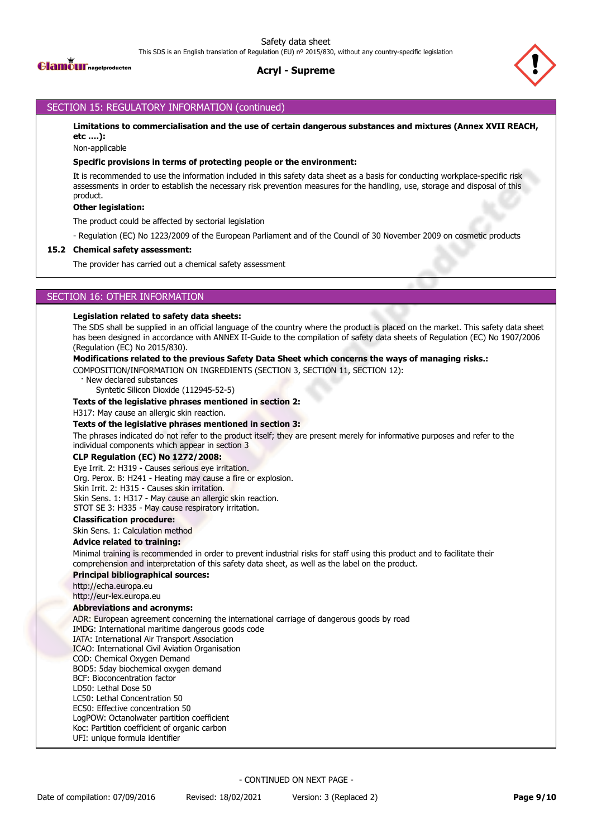

# **Acryl - Supreme**



# SECTION 15: REGULATORY INFORMATION (continued)

**Limitations to commercialisation and the use of certain dangerous substances and mixtures (Annex XVII REACH, etc ….):**

Non-applicable

#### **Specific provisions in terms of protecting people or the environment:**

It is recommended to use the information included in this safety data sheet as a basis for conducting workplace-specific risk assessments in order to establish the necessary risk prevention measures for the handling, use, storage and disposal of this product.

### **Other legislation:**

The product could be affected by sectorial legislation

- Regulation (EC) No 1223/2009 of the European Parliament and of the Council of 30 November 2009 on cosmetic products

### **15.2 Chemical safety assessment:**

The provider has carried out a chemical safety assessment

# SECTION 16: OTHER INFORMATION

#### **Legislation related to safety data sheets:**

The SDS shall be supplied in an official language of the country where the product is placed on the market. This safety data sheet has been designed in accordance with ANNEX II-Guide to the compilation of safety data sheets of Regulation (EC) No 1907/2006 (Regulation (EC) No 2015/830).

#### **Modifications related to the previous Safety Data Sheet which concerns the ways of managing risks.:**

COMPOSITION/INFORMATION ON INGREDIENTS (SECTION 3, SECTION 11, SECTION 12):

New declared substances

Syntetic Silicon Dioxide (112945-52-5)

#### **Texts of the legislative phrases mentioned in section 2:**

H317: May cause an allergic skin reaction.

#### **Texts of the legislative phrases mentioned in section 3:**

The phrases indicated do not refer to the product itself; they are present merely for informative purposes and refer to the individual components which appear in section 3

#### **CLP Regulation (EC) No 1272/2008:**

Eye Irrit. 2: H319 - Causes serious eye irritation. Org. Perox. B: H241 - Heating may cause a fire or explosion. Skin Irrit. 2: H315 - Causes skin irritation. Skin Sens. 1: H317 - May cause an allergic skin reaction.

STOT SE 3: H335 - May cause respiratory irritation.

## **Classification procedure:**

Skin Sens. 1: Calculation method

## **Advice related to training:**

Minimal training is recommended in order to prevent industrial risks for staff using this product and to facilitate their comprehension and interpretation of this safety data sheet, as well as the label on the product.

#### **Principal bibliographical sources:**

http://echa.europa.eu

http://eur-lex.europa.eu

#### **Abbreviations and acronyms:**

ADR: European agreement concerning the international carriage of dangerous goods by road

IMDG: International maritime dangerous goods code

IATA: International Air Transport Association

ICAO: International Civil Aviation Organisation

COD: Chemical Oxygen Demand

BOD5: 5day biochemical oxygen demand

BCF: Bioconcentration factor

LD50: Lethal Dose 50

LC50: Lethal Concentration 50

EC50: Effective concentration 50

LogPOW: Octanolwater partition coefficient

Koc: Partition coefficient of organic carbon

UFI: unique formula identifier